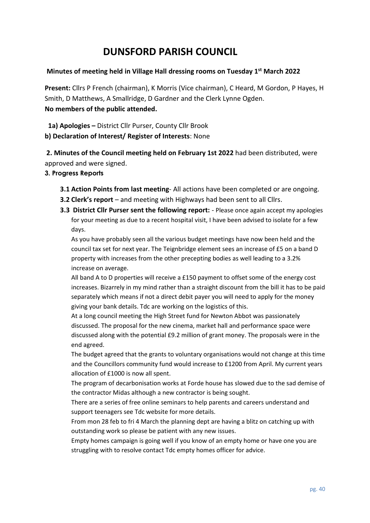# **DUNSFORD PARISH COUNCIL**

### **Minutes of meeting held in Village Hall dressing rooms on Tuesday 1 st March 2022**

**Present:** Cllrs P French (chairman), K Morris (Vice chairman), C Heard, M Gordon, P Hayes, H Smith, D Matthews, A Smallridge, D Gardner and the Clerk Lynne Ogden. **No members of the public attended.**

 **1a) Apologies –** District Cllr Purser, County Cllr Brook

**b) Declaration of Interest/ Register of Interests**: None

**2. Minutes of the Council meeting held on February 1st 2022** had been distributed, were approved and were signed.

#### **3. Progress Reports**

- **3.1 Action Points from last meeting** All actions have been completed or are ongoing.
- **3.2 Clerk's report** and meeting with Highways had been sent to all Cllrs.
- **3.3 District Cllr Purser sent the following report:**  Please once again accept my apologies for your meeting as due to a recent hospital visit, I have been advised to isolate for a few days.

As you have probably seen all the various budget meetings have now been held and the council tax set for next year. The Teignbridge element sees an increase of £5 on a band D property with increases from the other precepting bodies as well leading to a 3.2% increase on average.

All band A to D properties will receive a £150 payment to offset some of the energy cost increases. Bizarrely in my mind rather than a straight discount from the bill it has to be paid separately which means if not a direct debit payer you will need to apply for the money giving your bank details. Tdc are working on the logistics of this.

At a long council meeting the High Street fund for Newton Abbot was passionately discussed. The proposal for the new cinema, market hall and performance space were discussed along with the potential £9.2 million of grant money. The proposals were in the end agreed.

The budget agreed that the grants to voluntary organisations would not change at this time and the Councillors community fund would increase to £1200 from April. My current years allocation of £1000 is now all spent.

The program of decarbonisation works at Forde house has slowed due to the sad demise of the contractor Midas although a new contractor is being sought.

There are a series of free online seminars to help parents and careers understand and support teenagers see Tdc website for more details.

From mon 28 feb to fri 4 March the planning dept are having a blitz on catching up with outstanding work so please be patient with any new issues.

Empty homes campaign is going well if you know of an empty home or have one you are struggling with to resolve contact Tdc empty homes officer for advice.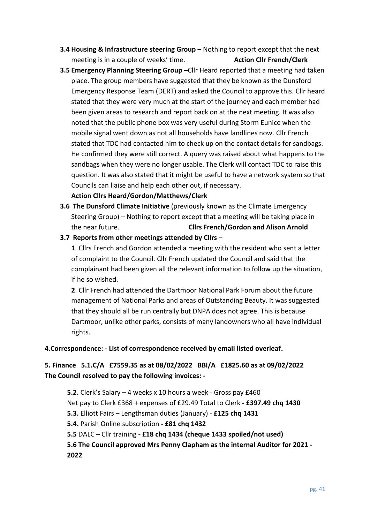- **3.4 Housing & Infrastructure steering Group Nothing to report except that the next** meeting is in a couple of weeks' time. **Action Cllr French/Clerk**
- **3.5 Emergency Planning Steering Group –**Cllr Heard reported that a meeting had taken place. The group members have suggested that they be known as the Dunsford Emergency Response Team (DERT) and asked the Council to approve this. Cllr heard stated that they were very much at the start of the journey and each member had been given areas to research and report back on at the next meeting. It was also noted that the public phone box was very useful during Storm Eunice when the mobile signal went down as not all households have landlines now. Cllr French stated that TDC had contacted him to check up on the contact details for sandbags. He confirmed they were still correct. A query was raised about what happens to the sandbags when they were no longer usable. The Clerk will contact TDC to raise this question. It was also stated that it might be useful to have a network system so that Councils can liaise and help each other out, if necessary.

#### **Action Cllrs Heard/Gordon/Matthews/Clerk**

- **3.6 The Dunsford Climate Initiative** (previously known as the Climate Emergency Steering Group) – Nothing to report except that a meeting will be taking place in the near future. **Cllrs French/Gordon and Alison Arnold**
- **3.7 Reports from other meetings attended by Cllrs** –

**1**. Cllrs French and Gordon attended a meeting with the resident who sent a letter of complaint to the Council. Cllr French updated the Council and said that the complainant had been given all the relevant information to follow up the situation, if he so wished.

**2**. Cllr French had attended the Dartmoor National Park Forum about the future management of National Parks and areas of Outstanding Beauty. It was suggested that they should all be run centrally but DNPA does not agree. This is because Dartmoor, unlike other parks, consists of many landowners who all have individual rights.

#### **4.Correspondence: - List of correspondence received by email listed overleaf.**

## **5. Finance 5.1.C/A £7559.35 as at 08/02/2022 BBI/A £1825.60 as at 09/02/2022 The Council resolved to pay the following invoices: -**

**5.2.** Clerk's Salary – 4 weeks x 10 hours a week - Gross pay £460 Net pay to Clerk £368 + expenses of £29.49 Total to Clerk **- £397.49 chq 1430 5.3.** Elliott Fairs – Lengthsman duties (January) - **£125 chq 1431 5.4.** Parish Online subscription **- £81 chq 1432 5.5** DALC – Cllr training **- £18 chq 1434 (cheque 1433 spoiled/not used) 5.6 The Council approved Mrs Penny Clapham as the internal Auditor for 2021 - 2022**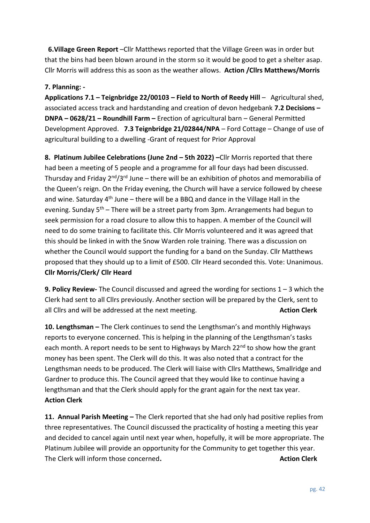**6.Village Green Report** –Cllr Matthews reported that the Village Green was in order but that the bins had been blown around in the storm so it would be good to get a shelter asap. Cllr Morris will address this as soon as the weather allows. **Action /Cllrs Matthews/Morris**

#### **7. Planning: -**

**Applications 7.1 – Teignbridge 22/00103 – Field to North of Reedy Hill** – Agricultural shed, associated access track and hardstanding and creation of devon hedgebank **7.2 Decisions – DNPA – 0628/21 – Roundhill Farm –** Erection of agricultural barn – General Permitted Development Approved. **7.3 Teignbridge 21/02844/NPA** – Ford Cottage – Change of use of agricultural building to a dwelling -Grant of request for Prior Approval

**8. Platinum Jubilee Celebrations (June 2nd – 5th 2022) –**Cllr Morris reported that there had been a meeting of 5 people and a programme for all four days had been discussed. Thursday and Friday  $2^{nd}/3^{rd}$  June – there will be an exhibition of photos and memorabilia of the Queen's reign. On the Friday evening, the Church will have a service followed by cheese and wine. Saturday  $4<sup>th</sup>$  June – there will be a BBQ and dance in the Village Hall in the evening. Sunday  $5<sup>th</sup>$  – There will be a street party from 3pm. Arrangements had begun to seek permission for a road closure to allow this to happen. A member of the Council will need to do some training to facilitate this. Cllr Morris volunteered and it was agreed that this should be linked in with the Snow Warden role training. There was a discussion on whether the Council would support the funding for a band on the Sunday. Cllr Matthews proposed that they should up to a limit of £500. Cllr Heard seconded this. Vote: Unanimous. **Cllr Morris/Clerk/ Cllr Heard**

**9. Policy Review-** The Council discussed and agreed the wording for sections 1 – 3 which the Clerk had sent to all Cllrs previously. Another section will be prepared by the Clerk, sent to all Cllrs and will be addressed at the next meeting. **Action Clerk** and Muslem Clerk

**10. Lengthsman –** The Clerk continues to send the Lengthsman's and monthly Highways reports to everyone concerned. This is helping in the planning of the Lengthsman's tasks each month. A report needs to be sent to Highways by March 22<sup>nd</sup> to show how the grant money has been spent. The Clerk will do this. It was also noted that a contract for the Lengthsman needs to be produced. The Clerk will liaise with Cllrs Matthews, Smallridge and Gardner to produce this. The Council agreed that they would like to continue having a lengthsman and that the Clerk should apply for the grant again for the next tax year. **Action Clerk**

**11. Annual Parish Meeting –** The Clerk reported that she had only had positive replies from three representatives. The Council discussed the practicality of hosting a meeting this year and decided to cancel again until next year when, hopefully, it will be more appropriate. The Platinum Jubilee will provide an opportunity for the Community to get together this year. The Clerk will inform those concerned. Action Clerk and the Clerk of the Clerk and the Clerk and the Clerk and the Clerk